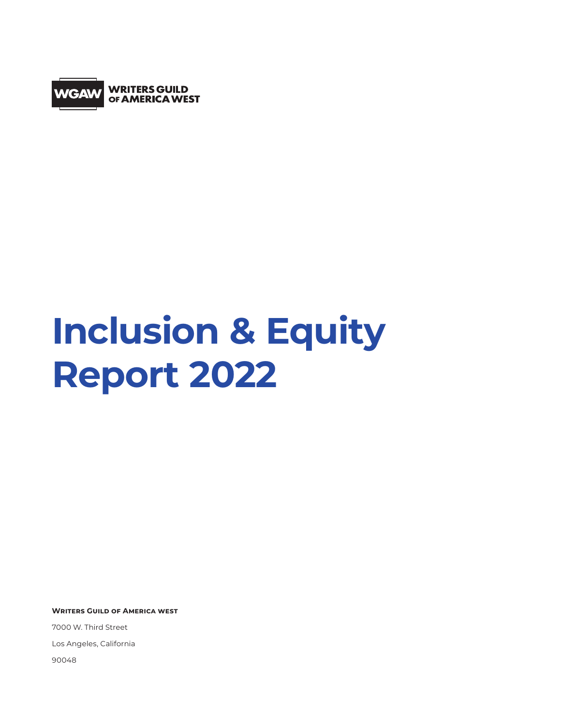

# **Inclusion & Equity Report 2022**

**Writers Guild of America west**

7000 W. Third Street Los Angeles, California 90048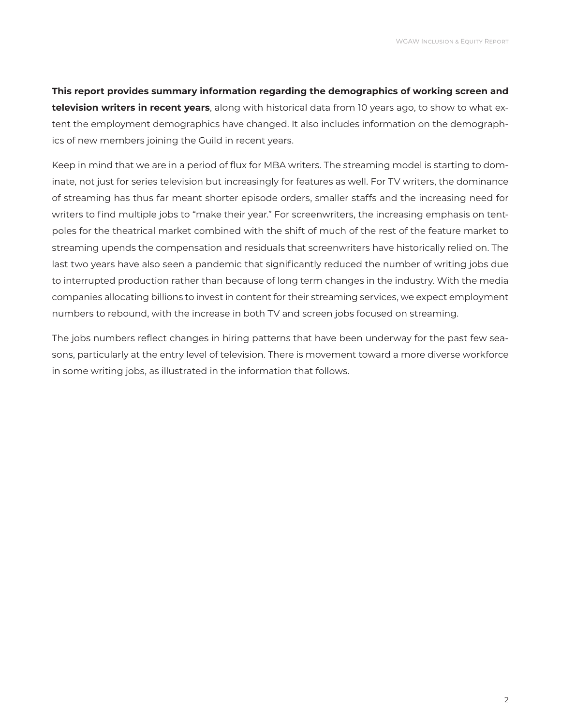**This report provides summary information regarding the demographics of working screen and television writers in recent years**, along with historical data from 10 years ago, to show to what extent the employment demographics have changed. It also includes information on the demographics of new members joining the Guild in recent years.

Keep in mind that we are in a period of flux for MBA writers. The streaming model is starting to dominate, not just for series television but increasingly for features as well. For TV writers, the dominance of streaming has thus far meant shorter episode orders, smaller staffs and the increasing need for writers to find multiple jobs to "make their year." For screenwriters, the increasing emphasis on tentpoles for the theatrical market combined with the shift of much of the rest of the feature market to streaming upends the compensation and residuals that screenwriters have historically relied on. The last two years have also seen a pandemic that significantly reduced the number of writing jobs due to interrupted production rather than because of long term changes in the industry. With the media companies allocating billions to invest in content for their streaming services, we expect employment numbers to rebound, with the increase in both TV and screen jobs focused on streaming.

The jobs numbers reflect changes in hiring patterns that have been underway for the past few seasons, particularly at the entry level of television. There is movement toward a more diverse workforce in some writing jobs, as illustrated in the information that follows.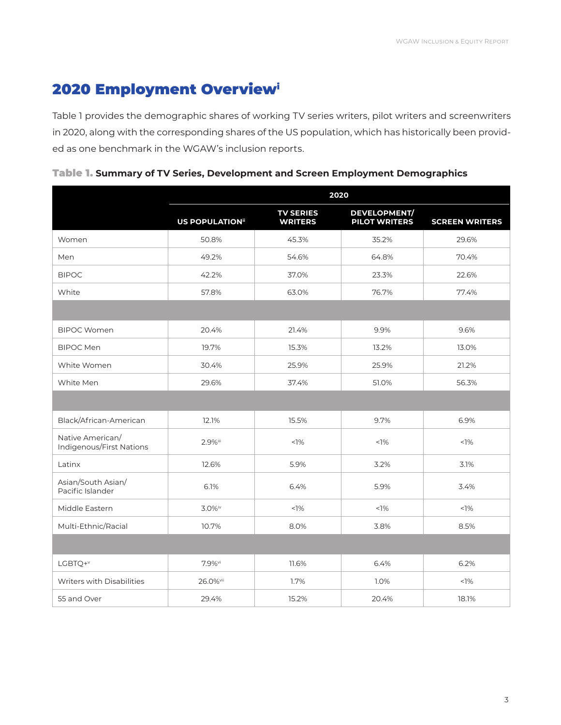## 2020 Employment Overviewi

Table 1 provides the demographic shares of working TV series writers, pilot writers and screenwriters in 2020, along with the corresponding shares of the US population, which has historically been provided as one benchmark in the WGAW's inclusion reports.

| Table 1. Summary of TV Series, Development and Screen Employment Demographics |  |  |  |
|-------------------------------------------------------------------------------|--|--|--|
|                                                                               |  |  |  |

|                                              | 2020                    |                                    |                                             |                       |  |  |  |  |  |
|----------------------------------------------|-------------------------|------------------------------------|---------------------------------------------|-----------------------|--|--|--|--|--|
|                                              | <b>US POPULATION</b> ii | <b>TV SERIES</b><br><b>WRITERS</b> | <b>DEVELOPMENT/</b><br><b>PILOT WRITERS</b> | <b>SCREEN WRITERS</b> |  |  |  |  |  |
| Women                                        | 50.8%                   | 45.3%                              | 35.2%                                       | 29.6%                 |  |  |  |  |  |
| Men                                          | 49.2%                   | 54.6%                              | 64.8%                                       | 70.4%                 |  |  |  |  |  |
| <b>BIPOC</b>                                 | 42.2%                   | 37.0%                              | 23.3%                                       | 22.6%                 |  |  |  |  |  |
| White                                        | 57.8%                   | 63.0%                              | 76.7%                                       | 77.4%                 |  |  |  |  |  |
|                                              |                         |                                    |                                             |                       |  |  |  |  |  |
| <b>BIPOC Women</b>                           | 20.4%                   | 21.4%                              | 9.9%                                        | 9.6%                  |  |  |  |  |  |
| <b>BIPOC Men</b>                             | 19.7%                   | 15.3%                              | 13.2%                                       | 13.0%                 |  |  |  |  |  |
| White Women                                  | 30.4%                   | 25.9%                              | 25.9%                                       | 21.2%                 |  |  |  |  |  |
| White Men                                    | 29.6%                   | 37.4%                              | 51.0%                                       | 56.3%                 |  |  |  |  |  |
|                                              |                         |                                    |                                             |                       |  |  |  |  |  |
| Black/African-American                       | 12.1%                   | 15.5%                              | 9.7%                                        | 6.9%                  |  |  |  |  |  |
| Native American/<br>Indigenous/First Nations | 2.9%iii                 | $1\%$                              | <1%                                         | $1\%$                 |  |  |  |  |  |
| Latinx                                       | 12.6%                   | 5.9%                               | 3.2%                                        | 3.1%                  |  |  |  |  |  |
| Asian/South Asian/<br>Pacific Islander       | 6.1%                    | 6.4%                               | 5.9%                                        | 3.4%                  |  |  |  |  |  |
| Middle Eastern                               | 3.0%iv                  | $1\%$                              | $1\%$                                       | $1\%$                 |  |  |  |  |  |
| Multi-Ethnic/Racial                          | 10.7%                   | 8.0%                               | 3.8%                                        | 8.5%                  |  |  |  |  |  |
|                                              |                         |                                    |                                             |                       |  |  |  |  |  |
| LGBTQ+V                                      | 7.9%vi                  | 11.6%                              | 6.4%                                        | 6.2%                  |  |  |  |  |  |
| <b>Writers with Disabilities</b>             | 26.0%vii                | 1.7%                               | 1.0%                                        | $1\%$                 |  |  |  |  |  |
| 55 and Over                                  | 29.4%                   | 15.2%                              | 20.4%                                       | 18.1%                 |  |  |  |  |  |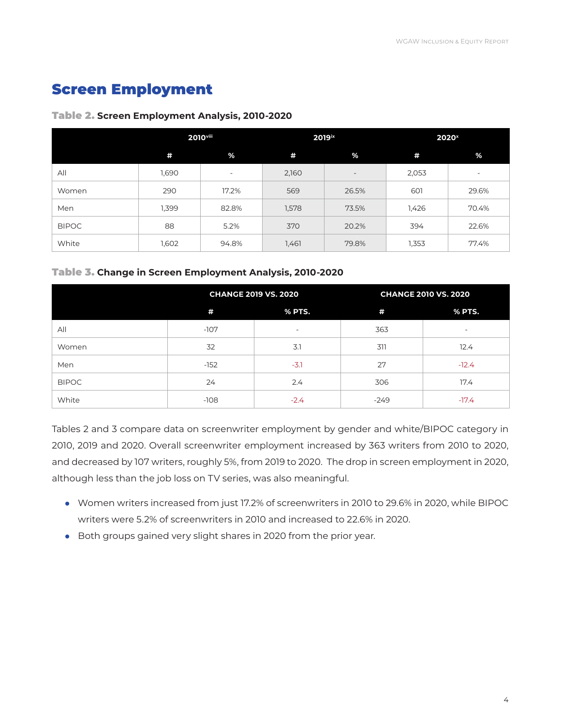## Screen Employment

### Table 2. **Screen Employment Analysis, 2010-2020**

|              | 2010 <sup>viii</sup> |       |       | 2019ix                   | 2020 <sup>x</sup> |                          |  |
|--------------|----------------------|-------|-------|--------------------------|-------------------|--------------------------|--|
|              | #                    | %     | #     | %                        | #                 | %                        |  |
| All          | 1,690                |       | 2,160 | $\overline{\phantom{a}}$ | 2,053             | $\overline{\phantom{a}}$ |  |
| Women        | 290                  | 17.2% | 569   | 26.5%                    | 601               | 29.6%                    |  |
| Men          | 1,399                | 82.8% | 1,578 | 73.5%                    | 1,426             | 70.4%                    |  |
| <b>BIPOC</b> | 88                   | 5.2%  | 370   | 20.2%                    | 394               | 22.6%                    |  |
| White        | 1,602                | 94.8% | 1,461 | 79.8%                    | 1,353             | 77.4%                    |  |

## Table 3. **Change in Screen Employment Analysis, 2010-2020**

|              |        | <b>CHANGE 2019 VS. 2020</b> | <b>CHANGE 2010 VS. 2020</b> |                          |  |  |
|--------------|--------|-----------------------------|-----------------------------|--------------------------|--|--|
|              | #      | % PTS.                      | #                           | % PTS.                   |  |  |
| All          | $-107$ | $\overline{\phantom{a}}$    | 363                         | $\overline{\phantom{a}}$ |  |  |
| Women        | 32     | 3.1                         | 311                         | 12.4                     |  |  |
| Men          | $-152$ | $-3.1$                      | 27                          | $-12.4$                  |  |  |
| <b>BIPOC</b> | 24     | 2.4                         | 306                         | 17.4                     |  |  |
| White        | $-108$ | $-2.4$                      | $-249$                      | $-17.4$                  |  |  |

Tables 2 and 3 compare data on screenwriter employment by gender and white/BIPOC category in 2010, 2019 and 2020. Overall screenwriter employment increased by 363 writers from 2010 to 2020, and decreased by 107 writers, roughly 5%, from 2019 to 2020. The drop in screen employment in 2020, although less than the job loss on TV series, was also meaningful.

- Women writers increased from just 17.2% of screenwriters in 2010 to 29.6% in 2020, while BIPOC writers were 5.2% of screenwriters in 2010 and increased to 22.6% in 2020.
- Both groups gained very slight shares in 2020 from the prior year.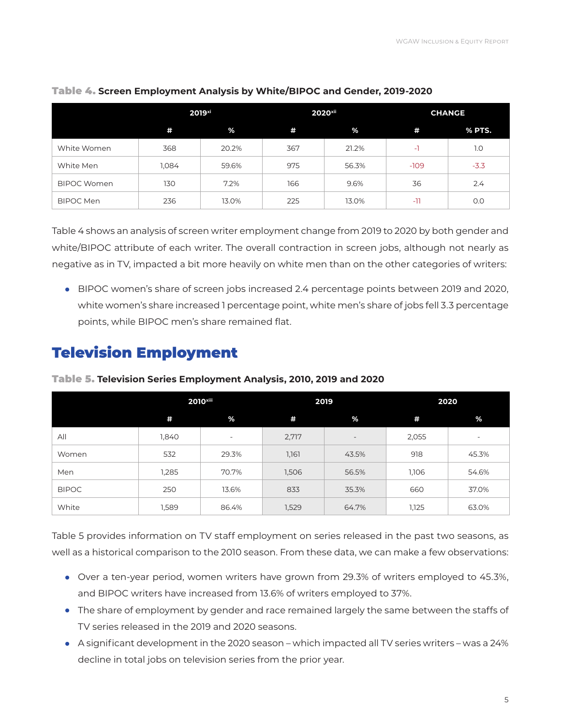|                    | 2019 <sup>xi</sup> |       |     | 2020 <sup>xii</sup> | <b>CHANGE</b> |        |  |
|--------------------|--------------------|-------|-----|---------------------|---------------|--------|--|
|                    | #                  | %     | #   | %                   | #             | % PTS. |  |
| White Women        | 368                | 20.2% | 367 | 21.2%               | ۰ı            | 1.0    |  |
| White Men          | 1,084              | 59.6% | 975 | 56.3%               | $-109$        | $-3.3$ |  |
| <b>BIPOC Women</b> | 130                | 7.2%  | 166 | 9.6%                | 36            | 2.4    |  |
| <b>BIPOC Men</b>   | 236                | 13.0% | 225 | 13.0%               | -11           | 0.0    |  |

## Table 4. **Screen Employment Analysis by White/BIPOC and Gender, 2019-2020**

Table 4 shows an analysis of screen writer employment change from 2019 to 2020 by both gender and white/BIPOC attribute of each writer. The overall contraction in screen jobs, although not nearly as negative as in TV, impacted a bit more heavily on white men than on the other categories of writers:

• BIPOC women's share of screen jobs increased 2.4 percentage points between 2019 and 2020, white women's share increased 1 percentage point, white men's share of jobs fell 3.3 percentage points, while BIPOC men's share remained flat.

## Television Employment

|              |       | 2010 <sup>xiii</sup>     | 2019  |                          | 2020  |                          |  |
|--------------|-------|--------------------------|-------|--------------------------|-------|--------------------------|--|
|              | #     | %                        | #     | %                        | #     | %                        |  |
| All          | 1,840 | $\overline{\phantom{a}}$ | 2,717 | $\overline{\phantom{a}}$ | 2,055 | $\overline{\phantom{a}}$ |  |
| Women        | 532   | 29.3%                    | 1,161 | 43.5%                    | 918   | 45.3%                    |  |
| Men          | 1,285 | 70.7%                    | 1,506 | 56.5%                    | 1,106 | 54.6%                    |  |
| <b>BIPOC</b> | 250   | 13.6%                    | 833   | 35.3%                    | 660   | 37.0%                    |  |
| White        | 1,589 | 86.4%                    | 1,529 | 64.7%                    | 1,125 | 63.0%                    |  |

Table 5. **Television Series Employment Analysis, 2010, 2019 and 2020**

Table 5 provides information on TV staff employment on series released in the past two seasons, as well as a historical comparison to the 2010 season. From these data, we can make a few observations:

- Over a ten-year period, women writers have grown from 29.3% of writers employed to 45.3%, and BIPOC writers have increased from 13.6% of writers employed to 37%.
- The share of employment by gender and race remained largely the same between the staffs of TV series released in the 2019 and 2020 seasons.
- A significant development in the 2020 season which impacted all TV series writers was a 24% decline in total jobs on television series from the prior year.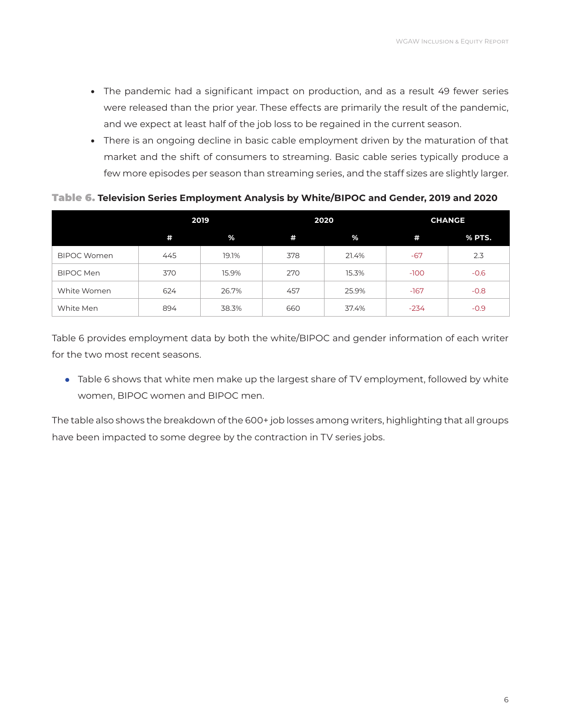- The pandemic had a significant impact on production, and as a result 49 fewer series were released than the prior year. These effects are primarily the result of the pandemic, and we expect at least half of the job loss to be regained in the current season.
- There is an ongoing decline in basic cable employment driven by the maturation of that market and the shift of consumers to streaming. Basic cable series typically produce a few more episodes per season than streaming series, and the staff sizes are slightly larger.

Table 6. **Television Series Employment Analysis by White/BIPOC and Gender, 2019 and 2020** 

|                    | 2019 |       |     | 2020  | <b>CHANGE</b> |        |  |
|--------------------|------|-------|-----|-------|---------------|--------|--|
|                    | #    | %     | #   | %     | #             | % PTS. |  |
| <b>BIPOC Women</b> | 445  | 19.1% | 378 | 21.4% | $-67$         | 2.3    |  |
| BIPOC Men          | 370  | 15.9% | 270 | 15.3% | $-100$        | $-0.6$ |  |
| White Women        | 624  | 26.7% | 457 | 25.9% | $-167$        | $-0.8$ |  |
| White Men          | 894  | 38.3% | 660 | 37.4% | $-234$        | $-0.9$ |  |

Table 6 provides employment data by both the white/BIPOC and gender information of each writer for the two most recent seasons.

• Table 6 shows that white men make up the largest share of TV employment, followed by white women, BIPOC women and BIPOC men.

The table also shows the breakdown of the 600+ job losses among writers, highlighting that all groups have been impacted to some degree by the contraction in TV series jobs.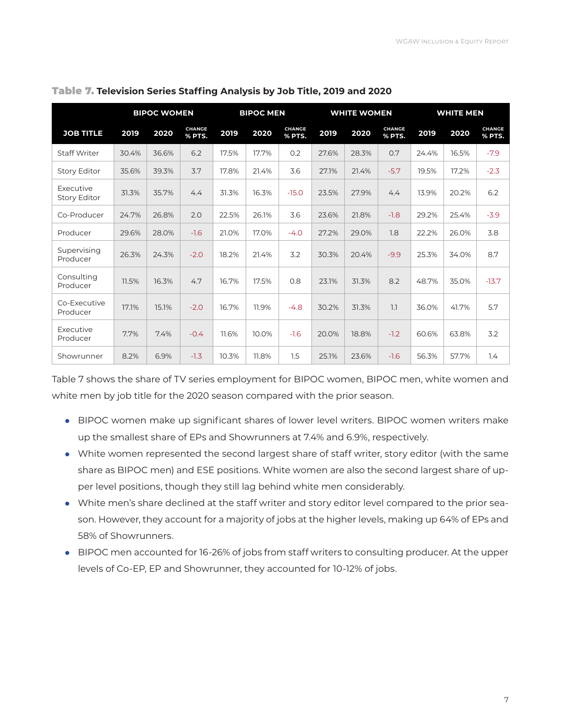|                                  |       | <b>BIPOC WOMEN</b> |                         | <b>BIPOC MEN</b> |       | <b>WHITE WOMEN</b>      |       |       |                         | <b>WHITE MEN</b> |       |                         |
|----------------------------------|-------|--------------------|-------------------------|------------------|-------|-------------------------|-------|-------|-------------------------|------------------|-------|-------------------------|
| <b>JOB TITLE</b>                 | 2019  | 2020               | <b>CHANGE</b><br>% PTS. | 2019             | 2020  | <b>CHANGE</b><br>% PTS. | 2019  | 2020  | <b>CHANGE</b><br>% PTS. | 2019             | 2020  | <b>CHANGE</b><br>% PTS. |
| <b>Staff Writer</b>              | 30.4% | 36.6%              | 6.2                     | 17.5%            | 17.7% | 0.2                     | 27.6% | 28.3% | 0.7                     | 24.4%            | 16.5% | $-7.9$                  |
| <b>Story Editor</b>              | 35.6% | 39.3%              | 3.7                     | 17.8%            | 21.4% | 3.6                     | 27.1% | 21.4% | $-5.7$                  | 19.5%            | 17.2% | $-2.3$                  |
| Executive<br><b>Story Editor</b> | 31.3% | 35.7%              | 4.4                     | 31.3%            | 16.3% | $-15.0$                 | 23.5% | 27.9% | 4.4                     | 13.9%            | 20.2% | 6.2                     |
| Co-Producer                      | 24.7% | 26.8%              | 2.0                     | 22.5%            | 26.1% | 3.6                     | 23.6% | 21.8% | $-1.8$                  | 29.2%            | 25.4% | $-3.9$                  |
| Producer                         | 29.6% | 28.0%              | $-1.6$                  | 21.0%            | 17.0% | $-4.0$                  | 27.2% | 29.0% | 1.8                     | 22.2%            | 26.0% | 3.8                     |
| Supervising<br>Producer          | 26.3% | 24.3%              | $-2.0$                  | 18.2%            | 21.4% | 3.2                     | 30.3% | 20.4% | $-9.9$                  | 25.3%            | 34.0% | 8.7                     |
| Consulting<br>Producer           | 11.5% | 16.3%              | 4.7                     | 16.7%            | 17.5% | 0.8                     | 23.1% | 31.3% | 8.2                     | 48.7%            | 35.0% | $-13.7$                 |
| Co-Executive<br>Producer         | 17.1% | 15.1%              | $-2.0$                  | 16.7%            | 11.9% | $-4.8$                  | 30.2% | 31.3% | 1.1                     | 36.0%            | 41.7% | 5.7                     |
| Executive<br>Producer            | 7.7%  | 7.4%               | $-0.4$                  | 11.6%            | 10.0% | $-1.6$                  | 20.0% | 18.8% | $-1.2$                  | 60.6%            | 63.8% | 3.2                     |
| Showrunner                       | 8.2%  | 6.9%               | $-1.3$                  | 10.3%            | 11.8% | 1.5                     | 25.1% | 23.6% | $-1.6$                  | 56.3%            | 57.7% | 1.4                     |

#### Table 7. **Television Series Staffing Analysis by Job Title, 2019 and 2020**

Table 7 shows the share of TV series employment for BIPOC women, BIPOC men, white women and white men by job title for the 2020 season compared with the prior season.

- BIPOC women make up significant shares of lower level writers. BIPOC women writers make up the smallest share of EPs and Showrunners at 7.4% and 6.9%, respectively.
- White women represented the second largest share of staff writer, story editor (with the same share as BIPOC men) and ESE positions. White women are also the second largest share of upper level positions, though they still lag behind white men considerably.
- White men's share declined at the staff writer and story editor level compared to the prior season. However, they account for a majority of jobs at the higher levels, making up 64% of EPs and 58% of Showrunners.
- BIPOC men accounted for 16-26% of jobs from staff writers to consulting producer. At the upper levels of Co-EP, EP and Showrunner, they accounted for 10-12% of jobs.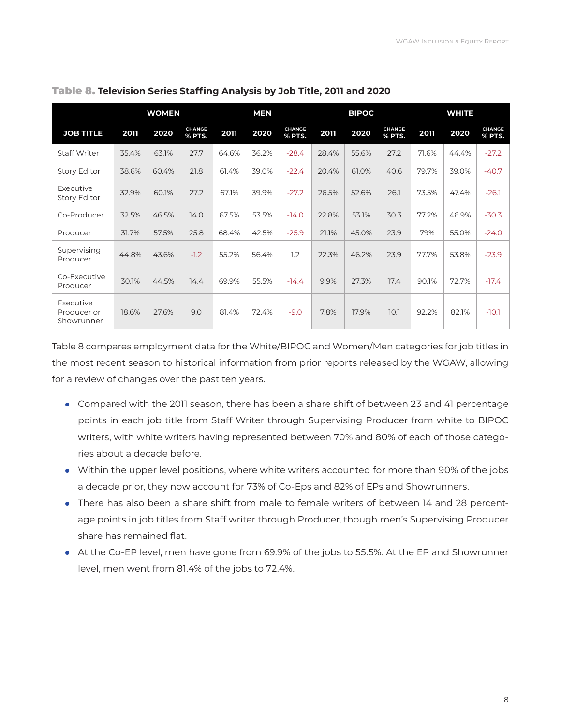|                                        | <b>MEN</b><br><b>WOMEN</b> |       |                         |       |       | <b>BIPOC</b>            |       |       | <b>WHITE</b>            | <b>CHANGE</b><br>% PTS.<br>$-27.2$<br>$-40.7$<br>$-26.1$<br>$-30.3$ |       |         |
|----------------------------------------|----------------------------|-------|-------------------------|-------|-------|-------------------------|-------|-------|-------------------------|---------------------------------------------------------------------|-------|---------|
| <b>JOB TITLE</b>                       | 2011                       | 2020  | <b>CHANGE</b><br>% PTS. | 2011  | 2020  | <b>CHANGE</b><br>% PTS. | 2011  | 2020  | <b>CHANGE</b><br>% PTS. | 2011                                                                | 2020  |         |
| <b>Staff Writer</b>                    | 35.4%                      | 63.1% | 27.7                    | 64.6% | 36.2% | $-28.4$                 | 28.4% | 55.6% | 27.2                    | 71.6%                                                               | 44.4% |         |
| <b>Story Editor</b>                    | 38.6%                      | 60.4% | 21.8                    | 61.4% | 39.0% | $-22.4$                 | 20.4% | 61.0% | 40.6                    | 79.7%                                                               | 39.0% |         |
| Executive<br><b>Story Editor</b>       | 32.9%                      | 60.1% | 27.2                    | 67.1% | 39.9% | $-27.2$                 | 26.5% | 52.6% | 26.1                    | 73.5%                                                               | 47.4% |         |
| Co-Producer                            | 32.5%                      | 46.5% | 14.0                    | 67.5% | 53.5% | $-14.0$                 | 22.8% | 53.1% | 30.3                    | 77.2%                                                               | 46.9% |         |
| Producer                               | 31.7%                      | 57.5% | 25.8                    | 68.4% | 42.5% | $-25.9$                 | 21.1% | 45.0% | 23.9                    | 79%                                                                 | 55.0% | $-24.0$ |
| Supervising<br>Producer                | 44.8%                      | 43.6% | $-1.2$                  | 55.2% | 56.4% | 1.2                     | 22.3% | 46.2% | 23.9                    | 77.7%                                                               | 53.8% | $-23.9$ |
| Co-Executive<br>Producer               | 30.1%                      | 44.5% | 14.4                    | 69.9% | 55.5% | $-14.4$                 | 9.9%  | 27.3% | 17.4                    | 90.1%                                                               | 72.7% | $-17.4$ |
| Executive<br>Producer or<br>Showrunner | 18.6%                      | 27.6% | 9.0                     | 81.4% | 72.4% | $-9.0$                  | 7.8%  | 17.9% | 10.1                    | 92.2%                                                               | 82.1% | $-10.1$ |

Table 8. **Television Series Staffing Analysis by Job Title, 2011 and 2020** 

Table 8 compares employment data for the White/BIPOC and Women/Men categories for job titles in the most recent season to historical information from prior reports released by the WGAW, allowing for a review of changes over the past ten years.

- Compared with the 2011 season, there has been a share shift of between 23 and 41 percentage points in each job title from Staff Writer through Supervising Producer from white to BIPOC writers, with white writers having represented between 70% and 80% of each of those categories about a decade before.
- Within the upper level positions, where white writers accounted for more than 90% of the jobs a decade prior, they now account for 73% of Co-Eps and 82% of EPs and Showrunners.
- There has also been a share shift from male to female writers of between 14 and 28 percentage points in job titles from Staff writer through Producer, though men's Supervising Producer share has remained flat.
- At the Co-EP level, men have gone from 69.9% of the jobs to 55.5%. At the EP and Showrunner level, men went from 81.4% of the jobs to 72.4%.